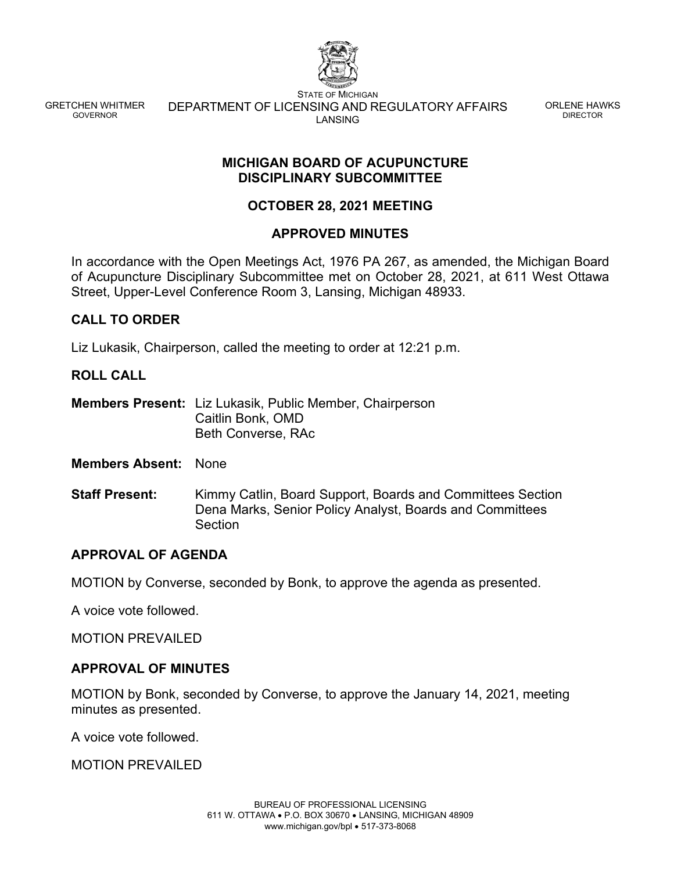

GRETCHEN WHITMER GOVERNOR

STATE OF MICHIGAN DEPARTMENT OF LICENSING AND REGULATORY AFFAIRS LANSING

ORLENE HAWKS DIRECTOR

### **MICHIGAN BOARD OF ACUPUNCTURE DISCIPLINARY SUBCOMMITTEE**

# **OCTOBER 28, 2021 MEETING**

## **APPROVED MINUTES**

In accordance with the Open Meetings Act, 1976 PA 267, as amended, the Michigan Board of Acupuncture Disciplinary Subcommittee met on October 28, 2021, at 611 West Ottawa Street, Upper-Level Conference Room 3, Lansing, Michigan 48933.

## **CALL TO ORDER**

Liz Lukasik, Chairperson, called the meeting to order at 12:21 p.m.

#### **ROLL CALL**

**Members Present:** Liz Lukasik, Public Member, Chairperson Caitlin Bonk, OMD Beth Converse, RAc

**Members Absent:** None

**Staff Present:** Kimmy Catlin, Board Support, Boards and Committees Section Dena Marks, Senior Policy Analyst, Boards and Committees **Section** 

### **APPROVAL OF AGENDA**

MOTION by Converse, seconded by Bonk, to approve the agenda as presented.

A voice vote followed.

MOTION PREVAILED

### **APPROVAL OF MINUTES**

MOTION by Bonk, seconded by Converse, to approve the January 14, 2021, meeting minutes as presented.

A voice vote followed.

MOTION PREVAILED